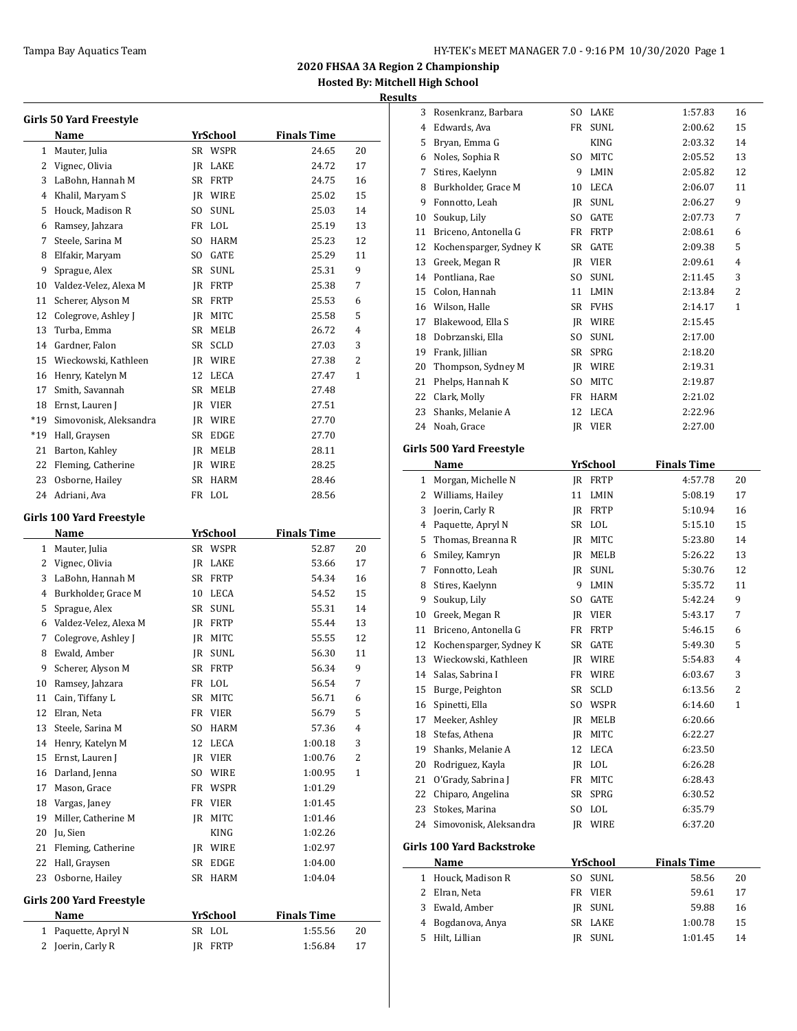**Results**

|              | Girls 50 Yard Freestyle                 |                   |                    |    |  |  |  |  |  |
|--------------|-----------------------------------------|-------------------|--------------------|----|--|--|--|--|--|
|              | Name                                    | <u>YrSchool</u>   | <b>Finals Time</b> |    |  |  |  |  |  |
| $\mathbf{1}$ | Mauter, Julia                           | SR WSPR           | 24.65              | 20 |  |  |  |  |  |
| 2            | Vignec, Olivia                          | IR LAKE           | 24.72              | 17 |  |  |  |  |  |
| 3            | LaBohn, Hannah M                        | SR FRTP           | 24.75              | 16 |  |  |  |  |  |
| 4            | Khalil, Maryam S                        | JR WIRE           | 25.02              | 15 |  |  |  |  |  |
| 5            | Houck, Madison R                        | SO.<br>SUNL       | 25.03              | 14 |  |  |  |  |  |
| 6            | Ramsey, Jahzara                         | FR LOL            | 25.19              | 13 |  |  |  |  |  |
| 7            | Steele, Sarina M                        | SO.<br>HARM       | 25.23              | 12 |  |  |  |  |  |
| 8            | Elfakir, Maryam                         | SO<br>GATE        | 25.29              | 11 |  |  |  |  |  |
| 9            | Sprague, Alex                           | SR SUNL           | 25.31              | 9  |  |  |  |  |  |
| 10           | Valdez-Velez, Alexa M                   | IR FRTP           | 25.38              | 7  |  |  |  |  |  |
| 11           | Scherer, Alyson M                       | SR FRTP           | 25.53              | 6  |  |  |  |  |  |
| 12           | Colegrove, Ashley J                     | MITC<br>JR        | 25.58              | 5  |  |  |  |  |  |
| 13           | Turba, Emma                             | SR<br>MELB        | 26.72              | 4  |  |  |  |  |  |
| 14           | Gardner, Falon                          | SR<br><b>SCLD</b> | 27.03              | 3  |  |  |  |  |  |
| 15           | Wieckowski, Kathleen                    | JR WIRE           | 27.38              | 2  |  |  |  |  |  |
| 16           | Henry, Katelyn M                        | 12<br>LECA        | 27.47              | 1  |  |  |  |  |  |
| 17           | Smith, Savannah                         | SR<br>MELB        | 27.48              |    |  |  |  |  |  |
| 18           | Ernst, Lauren J                         | JR VIER           | 27.51              |    |  |  |  |  |  |
| *19          | Simovonisk, Aleksandra                  | JR WIRE           | 27.70              |    |  |  |  |  |  |
| *19          | Hall, Graysen                           | SR<br>EDGE        | 27.70              |    |  |  |  |  |  |
| 21           | Barton, Kahley                          | JR MELB           | 28.11              |    |  |  |  |  |  |
| 22           | Fleming, Catherine                      | JR WIRE           | 28.25              |    |  |  |  |  |  |
| 23           | Osborne, Hailey                         | <b>HARM</b><br>SR | 28.46              |    |  |  |  |  |  |
| 24           | Adriani, Ava                            | FR LOL            | 28.56              |    |  |  |  |  |  |
|              |                                         |                   |                    |    |  |  |  |  |  |
|              | Girls 100 Yard Freestyle                |                   |                    |    |  |  |  |  |  |
|              |                                         |                   |                    |    |  |  |  |  |  |
|              | Name                                    | YrSchool          | <b>Finals Time</b> |    |  |  |  |  |  |
| 1            | Mauter, Julia                           | SR WSPR           | 52.87              | 20 |  |  |  |  |  |
| 2            | Vignec, Olivia                          | JR LAKE           | 53.66              | 17 |  |  |  |  |  |
| 3            | LaBohn, Hannah M                        | SR FRTP           | 54.34              | 16 |  |  |  |  |  |
| 4            | Burkholder, Grace M                     | LECA<br>10        | 54.52              | 15 |  |  |  |  |  |
| 5            | Sprague, Alex                           | SR<br>SUNL        | 55.31              | 14 |  |  |  |  |  |
| 6            | Valdez-Velez, Alexa M                   | JR FRTP           | 55.44              | 13 |  |  |  |  |  |
| 7            | Colegrove, Ashley J                     | JR MITC           | 55.55              | 12 |  |  |  |  |  |
| 8            | Ewald, Amber                            | SUNL<br>JR.       | 56.30              | 11 |  |  |  |  |  |
| 9            | Scherer, Alyson M                       | SR<br>FRTP        | 56.34              | 9  |  |  |  |  |  |
|              | 10 Ramsey, Jahzara                      | FR LOL            | 56.54              | 7  |  |  |  |  |  |
| 11           | Cain, Tiffany L                         | MITC<br>SR        | 56.71              | 6  |  |  |  |  |  |
| 12           | Elran, Neta                             | FR<br>VIER        | 56.79              | 5  |  |  |  |  |  |
| 13           | Steele, Sarina M                        | HARM<br>SO        | 57.36              | 4  |  |  |  |  |  |
| 14           | Henry, Katelyn M                        | 12<br>LECA        | 1:00.18            | 3  |  |  |  |  |  |
| 15           | Ernst, Lauren J                         | VIER<br>JR        | 1:00.76            | 2  |  |  |  |  |  |
| 16           | Darland, Jenna                          | SO.<br>WIRE       | 1:00.95            | 1  |  |  |  |  |  |
| 17           | Mason, Grace                            | FR<br>WSPR        | 1:01.29            |    |  |  |  |  |  |
| 18           | Vargas, Janey                           | FR<br>VIER        | 1:01.45            |    |  |  |  |  |  |
| 19           | Miller, Catherine M                     | MITC<br>IR        | 1:01.46            |    |  |  |  |  |  |
| 20           | Ju, Sien                                | KING              | 1:02.26            |    |  |  |  |  |  |
| 21           | Fleming, Catherine                      | JR WIRE           | 1:02.97            |    |  |  |  |  |  |
| 22           | Hall, Graysen                           | SR<br>EDGE        | 1:04.00            |    |  |  |  |  |  |
| 23           | Osborne, Hailey                         | SR<br>HARM        | 1:04.04            |    |  |  |  |  |  |
|              |                                         |                   |                    |    |  |  |  |  |  |
|              | Girls 200 Yard Freestyle<br><b>Name</b> | <u>YrSchool</u>   | <u>Finals Time</u> |    |  |  |  |  |  |

2 Joerin, Carly R JR FRTP 1:56.84 17

| 3  | Rosenkranz, Barbara       | SO  | LAKE            | 1:57.83            | 16 |
|----|---------------------------|-----|-----------------|--------------------|----|
| 4  | Edwards, Ava              | FR  | <b>SUNL</b>     | 2:00.62            | 15 |
| 5  | Bryan, Emma G             |     | <b>KING</b>     | 2:03.32            | 14 |
|    | 6 Noles, Sophia R         |     | SO MITC         | 2:05.52            | 13 |
| 7  | Stires, Kaelynn           |     | 9 LMIN          | 2:05.82            | 12 |
| 8  | Burkholder, Grace M       |     | 10 LECA         | 2:06.07            | 11 |
| 9  | Fonnotto, Leah            |     | JR SUNL         | 2:06.27            | 9  |
| 10 | Soukup, Lily              | SO  | GATE            | 2:07.73            | 7  |
| 11 | Briceno, Antonella G      | FR  | FRTP            | 2:08.61            | 6  |
| 12 | Kochensparger, Sydney K   |     | SR GATE         | 2:09.38            | 5  |
| 13 | Greek, Megan R            |     | JR VIER         | 2:09.61            | 4  |
|    | 14 Pontliana, Rae         | SO  | <b>SUNL</b>     | 2:11.45            | 3  |
|    | 15 Colon, Hannah          | 11  | LMIN            | 2:13.84            | 2  |
|    | 16 Wilson, Halle          |     | SR FVHS         | 2:14.17            | 1  |
| 17 | Blakewood, Ella S         |     | JR WIRE         | 2:15.45            |    |
| 18 | Dobrzanski, Ella          | SO  | SUNL            | 2:17.00            |    |
| 19 | Frank, Jillian            |     | SR SPRG         | 2:18.20            |    |
| 20 | Thompson, Sydney M        |     | JR WIRE         | 2:19.31            |    |
| 21 | Phelps, Hannah K          | SO  | MITC            | 2:19.87            |    |
| 22 | Clark, Molly              |     | FR HARM         | 2:21.02            |    |
| 23 | Shanks, Melanie A         | 12  | LECA            | 2:22.96            |    |
| 24 | Noah, Grace               |     | JR VIER         | 2:27.00            |    |
|    |                           |     |                 |                    |    |
|    | Girls 500 Yard Freestyle  |     |                 |                    |    |
|    | Name                      |     | <u>YrSchool</u> | <b>Finals Time</b> |    |
|    | 1 Morgan, Michelle N      |     | JR FRTP         | 4:57.78            | 20 |
|    | 2 Williams, Hailey        | 11  | LMIN            | 5:08.19            | 17 |
| 3  | Joerin, Carly R           |     | JR FRTP         | 5:10.94            | 16 |
| 4  | Paquette, Apryl N         |     | SR LOL          | 5:15.10            | 15 |
| 5  | Thomas, Breanna R         |     | JR MITC         | 5:23.80            | 14 |
| 6  | Smiley, Kamryn            |     | JR MELB         | 5:26.22            | 13 |
| 7  | Fonnotto, Leah            | IR  | SUNL            | 5:30.76            | 12 |
| 8  | Stires, Kaelynn           | 9   | LMIN            | 5:35.72            | 11 |
| 9  | Soukup, Lily              | SO  | GATE            | 5:42.24            | 9  |
| 10 | Greek, Megan R            |     | JR VIER         | 5:43.17            | 7  |
| 11 | Briceno, Antonella G      |     | FR FRTP         | 5:46.15            | 6  |
| 12 | Kochensparger, Sydney K   |     | SR GATE         | 5:49.30            | 5  |
| 13 | Wieckowski, Kathleen      | JR  | <b>WIRE</b>     | 5:54.83            | 4  |
| 14 | Salas, Sabrina I          | FR  | WIRE            | 6:03.67            | 3  |
| 15 | Burge, Peighton           | SR  | <b>SCLD</b>     | 6:13.56            | 2  |
| 16 | Spinetti, Ella            | SO  | WSPR            | 6:14.60            | 1  |
| 17 | Meeker, Ashley            | JR  | MELB            | 6:20.66            |    |
| 18 | Stefas, Athena            | JR  | MITC            | 6:22.27            |    |
| 19 | Shanks, Melanie A         | 12  | LECA            | 6:23.50            |    |
| 20 |                           |     |                 |                    |    |
| 21 | Rodriguez, Kayla          |     | JR LOL          | 6:26.28            |    |
|    | O'Grady, Sabrina J        | FR  | MITC            | 6:28.43            |    |
| 22 | Chiparo, Angelina         | SR  | SPRG            | 6:30.52            |    |
| 23 | Stokes, Marina            | SO. | LOL             | 6:35.79            |    |
| 24 | Simovonisk, Aleksandra    |     | <b>IR WIRE</b>  | 6:37.20            |    |
|    | Girls 100 Yard Backstroke |     |                 |                    |    |
|    | Name                      |     | <u>YrSchool</u> | <b>Finals Time</b> |    |
| 1  | Houck, Madison R          | SO  | SUNL            | 58.56              | 20 |
| 2  | Elran, Neta               | FR  | <b>VIER</b>     | 59.61              | 17 |
| 3  | Ewald, Amber              | JR  | SUNL            | 59.88              | 16 |
| 4  | Bogdanova, Anya           | SR  | LAKE            | 1:00.78            | 15 |
| 5  | Hilt, Lillian             | JR  | SUNL            | 1:01.45            | 14 |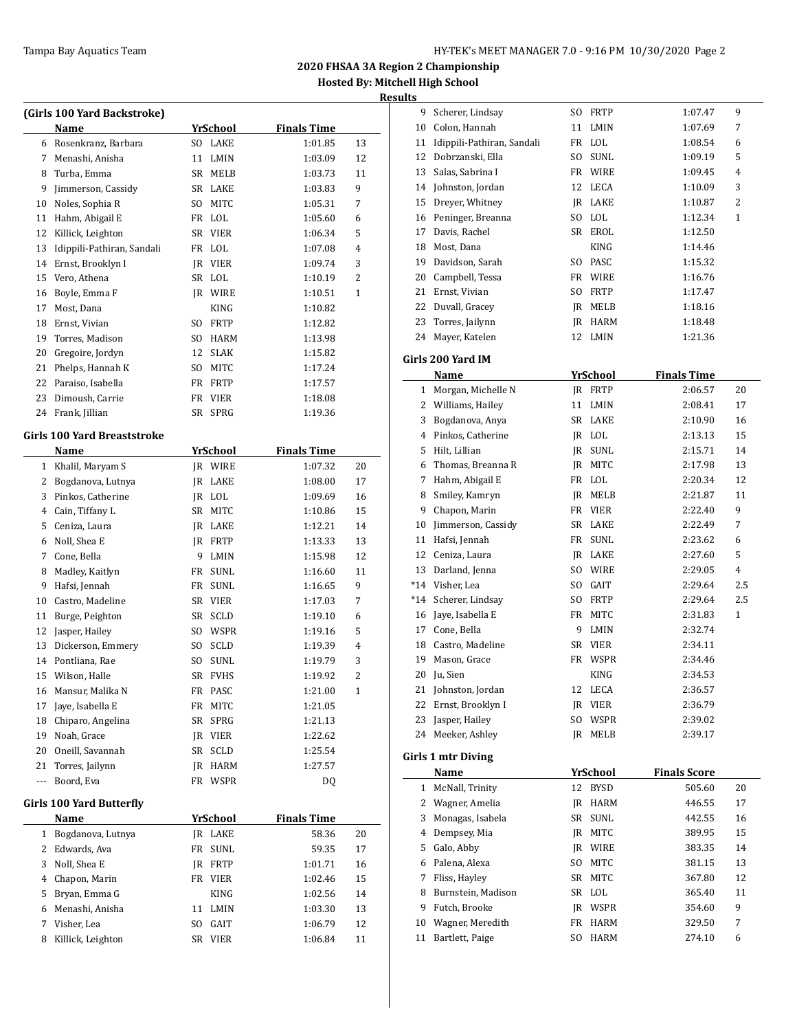**Results**

|              | (Girls 100 Yard Backstroke) |                       |                    |                |
|--------------|-----------------------------|-----------------------|--------------------|----------------|
|              | Name                        | YrSchool              | <b>Finals Time</b> |                |
|              | 6 Rosenkranz, Barbara       | SO LAKE               | 1:01.85            | 13             |
| 7            | Menashi, Anisha             | 11<br>LMIN            | 1:03.09            | 12             |
| 8            | Turba, Emma                 | SR MELB               | 1:03.73            | 11             |
| 9            | Jimmerson, Cassidy          | SR LAKE               | 1:03.83            | 9              |
| 10           | Noles, Sophia R             | SO MITC               | 1:05.31            | 7              |
| 11           | Hahm, Abigail E             | FR LOL                | 1:05.60            | 6              |
| 12           | Killick, Leighton           | SR VIER               | 1:06.34            | 5              |
| 13           | Idippili-Pathiran, Sandali  | FR LOL                | 1:07.08            | 4              |
| 14           | Ernst, Brooklyn I           | IR VIER               | 1:09.74            | 3              |
| 15           | Vero, Athena                | SR LOL                | 1:10.19            | 2              |
| 16           | Boyle, Emma F               | JR WIRE               | 1:10.51            | 1              |
| 17           | Most, Dana                  | <b>KING</b>           | 1:10.82            |                |
| 18           | Ernst, Vivian               | SO FRTP               | 1:12.82            |                |
| 19           | Torres, Madison             | SO HARM               | 1:13.98            |                |
| 20           | Gregoire, Jordyn            | 12 SLAK               | 1:15.82            |                |
| 21           | Phelps, Hannah K            | SO MITC               | 1:17.24            |                |
| 22           | Paraiso, Isabella           | FR FRTP               | 1:17.57            |                |
| 23           | Dimoush, Carrie             | FR VIER               | 1:18.08            |                |
|              | 24 Frank, Jillian           | SR SPRG               | 1:19.36            |                |
|              |                             |                       |                    |                |
|              | Girls 100 Yard Breaststroke |                       |                    |                |
|              | Name                        | <b>YrSchool</b>       | <b>Finals Time</b> |                |
|              | 1 Khalil, Maryam S          | JR WIRE               | 1:07.32            | 20             |
| 2            | Bogdanova, Lutnya           | JR LAKE               | 1:08.00            | 17             |
| 3            | Pinkos, Catherine           | JR LOL                | 1:09.69            | 16             |
| 4            | Cain, Tiffany L             | SR MITC               | 1:10.86            | 15             |
| 5            | Ceniza, Laura               | JR LAKE               | 1:12.21            | 14             |
| 6            | Noll, Shea E                | JR FRTP               | 1:13.33            | 13             |
| 7            | Cone, Bella                 | 9<br>LMIN             | 1:15.98            | 12             |
| 8            | Madley, Kaitlyn             | FR SUNL               | 1:16.60            | 11             |
| 9            | Hafsi, Jennah               | FR SUNL               | 1:16.65            | 9              |
| 10           | Castro, Madeline            | SR VIER               | 1:17.03            | 7              |
| 11           | Burge, Peighton             | SR SCLD               | 1:19.10            | 6              |
| 12           | Jasper, Hailey              | SO WSPR               | 1:19.16            | 5              |
| 13           | Dickerson, Emmery           | <b>SCLD</b><br>SO.    | 1:19.39            | $\overline{4}$ |
| 14           | Pontliana, Rae              | SO<br>SUNL            | 1:19.79            | 3              |
| 15           | Wilson, Halle               | SR FVHS               | 1:19.92            | 2              |
| 16           | Mansur, Malika N            | FR<br>PASC            | 1:21.00            | 1              |
| 17           | Jaye, Isabella E            | FR<br>MITC            | 1:21.05            |                |
| 18           | Chiparo, Angelina           | SR<br>SPRG            | 1:21.13            |                |
| 19           | Noah, Grace                 | JR VIER               | 1:22.62            |                |
| 20           | Oneill, Savannah            | SR<br>SCLD            | 1:25.54            |                |
| 21           | Torres, Jailynn             | JR<br>HARM            | 1:27.57            |                |
| ---          | Boord, Eva                  | FR WSPR               | DQ                 |                |
|              | Girls 100 Yard Butterfly    |                       |                    |                |
|              | Name                        | <b>YrSchool</b>       | <b>Finals Time</b> |                |
| $\mathbf{1}$ | Bogdanova, Lutnya           | JR LAKE               | 58.36              | 20             |
| 2            | Edwards, Ava                | $\texttt{SUML}$<br>FR | 59.35              | 17             |
| 3            | Noll, Shea E                | FRTP<br>JR            | 1:01.71            | 16             |
| 4            | Chapon, Marin               | FR VIER               | 1:02.46            | 15             |
| 5            | Bryan, Emma G               | KING                  | 1:02.56            | 14             |
| 6            | Menashi, Anisha             | 11<br>LMIN            | 1:03.30            | 13             |
| 7            | Visher, Lea                 | GAIT<br>SO            | 1:06.79            | 12             |
| 8            | Killick, Leighton           | SR<br>VIER            | 1:06.84            | 11             |
|              |                             |                       |                    |                |

| uns          |                               |     |                 |                     |                |
|--------------|-------------------------------|-----|-----------------|---------------------|----------------|
| 9            | Scherer, Lindsay              | SO. | FRTP            | 1:07.47             | 9              |
|              | 10 Colon, Hannah              | 11  | LMIN            | 1:07.69             | 7              |
|              | 11 Idippili-Pathiran, Sandali |     | FR LOL          | 1:08.54             | 6              |
| 12           | Dobrzanski, Ella              | SO. | SUNL            | 1:09.19             | 5              |
| 13           | Salas, Sabrina I              |     | FR WIRE         | 1:09.45             | $\overline{4}$ |
| 14           | Johnston, Jordan              | 12  | LECA            | 1:10.09             | 3              |
| 15           | Dreyer, Whitney               |     | IR LAKE         | 1:10.87             | 2              |
| 16           | Peninger, Breanna             |     | SO LOL          | 1:12.34             | 1              |
| 17           | Davis, Rachel                 |     | SR EROL         | 1:12.50             |                |
| 18           | Most, Dana                    |     | KING            | 1:14.46             |                |
| 19           | Davidson, Sarah               |     | SO PASC         | 1:15.32             |                |
| 20           | Campbell, Tessa               |     | FR WIRE         | 1:16.76             |                |
| 21           | Ernst, Vivian                 |     | SO FRTP         | 1:17.47             |                |
| 22           | Duvall, Gracey                |     | JR MELB         | 1:18.16             |                |
| 23           | Torres, Jailynn               |     | <b>IR HARM</b>  | 1:18.48             |                |
| 24           | Mayer, Katelen                | 12  | <b>LMIN</b>     | 1:21.36             |                |
|              | Girls 200 Yard IM             |     |                 |                     |                |
|              | Name                          |     | <u>YrSchool</u> | <b>Finals Time</b>  |                |
| $\mathbf{1}$ | Morgan, Michelle N            |     | IR FRTP         | 2:06.57             | 20             |
|              | 2 Williams, Hailey            | 11  | LMIN            | 2:08.41             | 17             |
| 3            | Bogdanova, Anya               |     | SR LAKE         | 2:10.90             | 16             |
|              | 4 Pinkos, Catherine           |     | JR LOL          | 2:13.13             | 15             |
|              | 5 Hilt, Lillian               |     | <b>IR SUNL</b>  | 2:15.71             | 14             |
| 6            | Thomas, Breanna R             |     | IR MITC         | 2:17.98             | 13             |
| 7            | Hahm, Abigail E               |     | FR LOL          | 2:20.34             | 12             |
| 8            | Smiley, Kamryn                |     | JR MELB         | 2:21.87             | 11             |
| 9            | Chapon, Marin                 |     | FR VIER         | 2:22.40             | 9              |
| 10           | Jimmerson, Cassidy            |     | SR LAKE         | 2:22.49             | 7              |
| 11           | Hafsi, Jennah                 | FR  | SUNL            | 2:23.62             | 6              |
| 12           | Ceniza, Laura                 |     | JR LAKE         | 2:27.60             | 5              |
| 13           | Darland, Jenna                |     | SO WIRE         | 2:29.05             | 4              |
|              | *14 Visher, Lea               |     | SO GAIT         | 2:29.64             | 2.5            |
| $*14$        | Scherer, Lindsay              |     | SO FRTP         | 2:29.64             | 2.5            |
| 16           | Jaye, Isabella E              | FR  | MITC            | 2:31.83             | 1              |
| 17           | Cone, Bella                   | 9   | LMIN            | 2:32.74             |                |
| 18           | Castro, Madeline              |     | SR VIER         | 2:34.11             |                |
| 19           | Mason, Grace                  | FR  | WSPR            | 2:34.46             |                |
| 20           | Ju, Sien                      |     | KING            | 2:34.53             |                |
| 21           | Johnston, Jordan              |     | 12 LECA         | 2:36.57             |                |
| 22           | Ernst, Brooklyn I             |     | JR VIER         | 2:36.79             |                |
| 23           | Jasper, Hailey                | SO  | WSPR            | 2:39.02             |                |
| 24           | Meeker, Ashley                | JR  | $\sf MELB$      | 2:39.17             |                |
|              |                               |     |                 |                     |                |
|              | <b>Girls 1 mtr Diving</b>     |     |                 |                     |                |
|              | <b>Name</b>                   |     | <u>YrSchool</u> | <b>Finals Score</b> |                |
| 1            | McNall, Trinity               | 12  | BYSD            | 505.60              | 20             |
| 2            | Wagner, Amelia                | JR  | HARM            | 446.55              | 17             |
| 3            | Monagas, Isabela              | SR  | SUNL            | 442.55              | 16             |
| 4            | Dempsey, Mia                  | JR  | MITC            | 389.95              | 15             |
| 5            | Galo, Abby                    |     | JR WIRE         | 383.35              | 14             |
| 6            | Palena, Alexa                 | SO. | MITC            | 381.15              | 13             |
| 7            | Fliss, Hayley                 | SR  | MITC            | 367.80              | 12             |
| 8            | Burnstein, Madison            | SR  | LOL             | 365.40              | 11             |
| 9            | Futch, Brooke                 |     | JR WSPR         | 354.60              | 9              |
| 10           | Wagner, Meredith              | FR  | HARM            | 329.50              | 7              |
| 11           | Bartlett, Paige               | SO  | HARM            | 274.10              | 6              |
|              |                               |     |                 |                     |                |
|              |                               |     |                 |                     |                |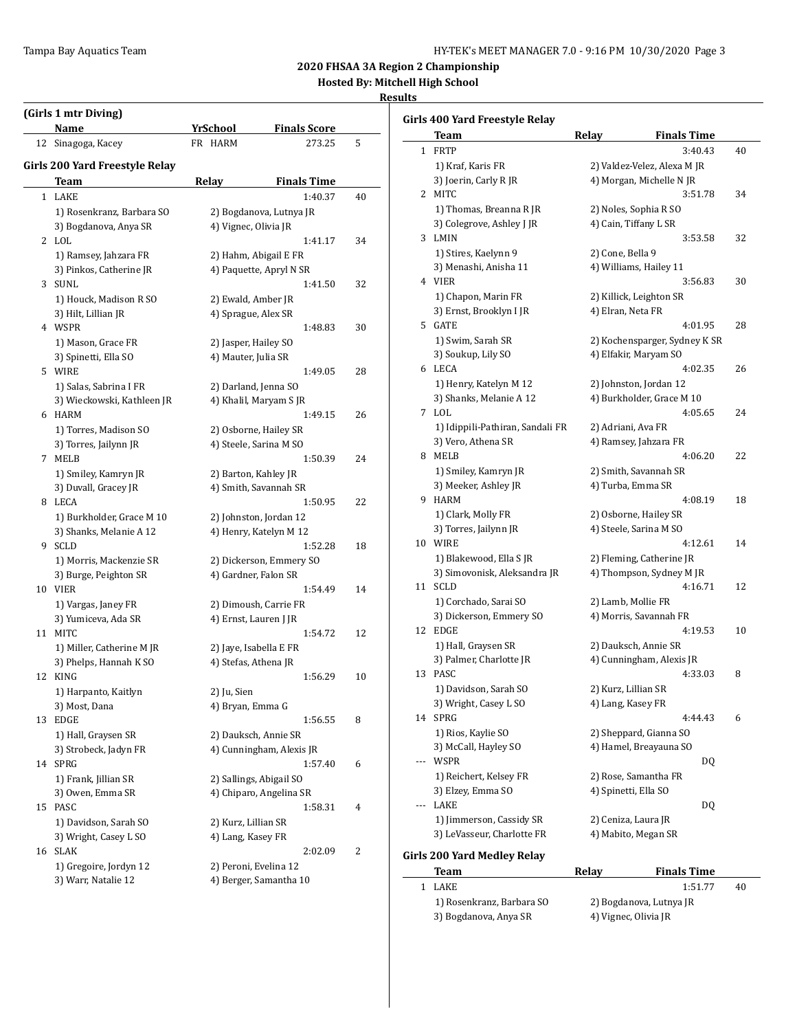**2020 FHSAA 3A Region 2 Championship**

**Hosted By: Mitchell High School**

#### **Results**

 $\overline{\phantom{a}}$ 

|    | (Girls 1 mtr Diving)                          |              | <b>Finals Score</b>                             |    |
|----|-----------------------------------------------|--------------|-------------------------------------------------|----|
|    | Name                                          | YrSchool     |                                                 |    |
| 12 | Sinagoga, Kacey                               | FR HARM      | 273.25                                          | 5  |
|    | Girls 200 Yard Freestyle Relay                |              |                                                 |    |
|    | Team                                          | <b>Relay</b> | <b>Finals Time</b>                              |    |
|    | 1 LAKE<br>1) Rosenkranz, Barbara SO           |              | 1:40.37<br>2) Bogdanova, Lutnya JR              | 40 |
|    | 3) Bogdanova, Anya SR                         |              | 4) Vignec, Olivia JR                            |    |
|    | 2 LOL                                         |              | 1:41.17                                         | 34 |
|    | 1) Ramsey, Jahzara FR                         |              | 2) Hahm, Abigail E FR                           |    |
|    | 3) Pinkos, Catherine JR                       |              | 4) Paquette, Apryl N SR                         |    |
| 3  | SUNL                                          |              | 1:41.50                                         | 32 |
|    | 1) Houck, Madison R SO                        |              | 2) Ewald, Amber JR                              |    |
|    | 3) Hilt, Lillian JR                           |              | 4) Sprague, Alex SR                             |    |
|    | 4 WSPR                                        |              | 1:48.83                                         | 30 |
|    | 1) Mason, Grace FR                            |              | 2) Jasper, Hailey SO                            |    |
|    | 3) Spinetti, Ella SO                          |              | 4) Mauter, Julia SR                             |    |
|    | 5 WIRE                                        |              | 1:49.05                                         | 28 |
|    | 1) Salas, Sabrina I FR                        |              | 2) Darland, Jenna SO                            |    |
|    | 3) Wieckowski, Kathleen JR                    |              | 4) Khalil, Maryam S JR                          |    |
|    | 6 HARM                                        |              | 1:49.15                                         | 26 |
|    | 1) Torres, Madison SO                         |              | 2) Osborne, Hailey SR                           |    |
|    | 3) Torres, Jailynn JR                         |              | 4) Steele, Sarina M SO                          |    |
|    | 7 MELB                                        |              | 1:50.39                                         | 24 |
|    | 1) Smiley, Kamryn JR                          |              | 2) Barton, Kahley JR                            |    |
|    | 3) Duvall, Gracey JR                          |              | 4) Smith, Savannah SR                           |    |
| 8  | LECA                                          |              | 1:50.95                                         | 22 |
|    | 1) Burkholder, Grace M 10                     |              | 2) Johnston, Jordan 12                          |    |
|    | 3) Shanks, Melanie A 12                       |              | 4) Henry, Katelyn M 12                          |    |
| 9  | SCLD                                          |              | 1:52.28                                         | 18 |
|    | 1) Morris, Mackenzie SR                       |              | 2) Dickerson, Emmery SO<br>4) Gardner, Falon SR |    |
| 10 | 3) Burge, Peighton SR<br>VIER                 |              | 1:54.49                                         | 14 |
|    | 1) Vargas, Janey FR                           |              | 2) Dimoush, Carrie FR                           |    |
|    | 3) Yumiceva, Ada SR                           |              | 4) Ernst, Lauren J JR                           |    |
| 11 | <b>MITC</b>                                   |              | 1:54.72                                         | 12 |
|    | 1) Miller, Catherine M JR                     |              | 2) Jaye, Isabella E FR                          |    |
|    | 3) Phelps, Hannah K SO                        |              | 4) Stefas, Athena JR                            |    |
| 12 | KING                                          |              | 1:56.29                                         | 10 |
|    | 1) Harpanto, Kaitlyn                          | 2) Ju, Sien  |                                                 |    |
|    | 3) Most, Dana                                 |              | 4) Bryan, Emma G                                |    |
| 13 | <b>EDGE</b>                                   |              | 1:56.55                                         | 8  |
|    | 1) Hall, Graysen SR                           |              | 2) Dauksch, Annie SR                            |    |
|    | 3) Strobeck, Jadyn FR                         |              | 4) Cunningham, Alexis JR                        |    |
| 14 | <b>SPRG</b>                                   |              | 1:57.40                                         | 6  |
|    | 1) Frank, Jillian SR                          |              | 2) Sallings, Abigail SO                         |    |
|    | 3) Owen, Emma SR                              |              | 4) Chiparo, Angelina SR                         |    |
| 15 | PASC                                          |              | 1:58.31                                         | 4  |
|    | 1) Davidson, Sarah SO                         |              | 2) Kurz, Lillian SR                             |    |
|    | 3) Wright, Casey L SO                         |              | 4) Lang, Kasey FR                               |    |
|    | 16 SLAK                                       |              | 2:02.09                                         | 2  |
|    | 1) Gregoire, Jordyn 12<br>3) Warr, Natalie 12 |              | 2) Peroni, Evelina 12                           |    |
|    |                                               |              | 4) Berger, Samantha 10                          |    |

|     | Girls 400 Yard Freestyle Relay     |                   |                               |    |
|-----|------------------------------------|-------------------|-------------------------------|----|
|     | Team                               | Relay             | <b>Finals Time</b>            |    |
| 1   | <b>FRTP</b>                        |                   | 3:40.43                       | 40 |
|     | 1) Kraf, Karis FR                  |                   | 2) Valdez-Velez, Alexa M JR   |    |
|     | 3) Joerin, Carly R JR              |                   | 4) Morgan, Michelle N JR      |    |
| 2   | MITC                               |                   | 3:51.78                       | 34 |
|     | 1) Thomas, Breanna R JR            |                   | 2) Noles, Sophia R SO         |    |
|     | 3) Colegrove, Ashley J JR          |                   | 4) Cain, Tiffany L SR         |    |
| 3   | LMIN                               |                   | 3:53.58                       | 32 |
|     | 1) Stires, Kaelynn 9               | 2) Cone, Bella 9  |                               |    |
|     | 3) Menashi, Anisha 11              |                   | 4) Williams, Hailey 11        |    |
|     | 4 VIER                             |                   | 3:56.83                       | 30 |
|     | 1) Chapon, Marin FR                |                   | 2) Killick, Leighton SR       |    |
|     | 3) Ernst, Brooklyn I JR            | 4) Elran, Neta FR |                               |    |
| 5.  | GATE                               |                   | 4:01.95                       | 28 |
|     | 1) Swim, Sarah SR                  |                   | 2) Kochensparger, Sydney K SR |    |
|     | 3) Soukup, Lily SO                 |                   | 4) Elfakir, Maryam SO         |    |
| 6   | LECA                               |                   | 4:02.35                       | 26 |
|     | 1) Henry, Katelyn M 12             |                   | 2) Johnston, Jordan 12        |    |
|     | 3) Shanks, Melanie A 12            |                   | 4) Burkholder, Grace M 10     |    |
| 7   | LOL                                |                   | 4:05.65                       | 24 |
|     | 1) Idippili-Pathiran, Sandali FR   |                   | 2) Adriani, Ava FR            |    |
|     | 3) Vero, Athena SR                 |                   | 4) Ramsey, Jahzara FR         |    |
| 8   | MELB                               |                   | 4:06.20                       | 22 |
|     | 1) Smiley, Kamryn JR               |                   | 2) Smith, Savannah SR         |    |
|     | 3) Meeker, Ashley JR               |                   | 4) Turba, Emma SR             |    |
| 9   | HARM                               |                   | 4:08.19                       | 18 |
|     | 1) Clark, Molly FR                 |                   | 2) Osborne, Hailey SR         |    |
|     | 3) Torres, Jailynn JR              |                   | 4) Steele, Sarina M SO        |    |
| 10  | WIRE                               |                   | 4:12.61                       | 14 |
|     | 1) Blakewood, Ella SJR             |                   | 2) Fleming, Catherine JR      |    |
|     | 3) Simovonisk, Aleksandra JR       |                   | 4) Thompson, Sydney M JR      |    |
| 11  | <b>SCLD</b>                        |                   | 4:16.71                       | 12 |
|     | 1) Corchado, Sarai SO              |                   | 2) Lamb, Mollie FR            |    |
|     | 3) Dickerson, Emmery SO            |                   | 4) Morris, Savannah FR        |    |
| 12  | <b>EDGE</b>                        |                   | 4:19.53                       | 10 |
|     | 1) Hall, Graysen SR                |                   | 2) Dauksch, Annie SR          |    |
|     | 3) Palmer, Charlotte JR            |                   | 4) Cunningham, Alexis JR      |    |
| 13  | PASC                               |                   | 4:33.03                       | 8  |
|     | 1) Davidson, Sarah SO              |                   | 2) Kurz, Lillian SR           |    |
|     | 3) Wright, Casey L SO              |                   | 4) Lang, Kasey FR             |    |
| 14  | SPRG                               |                   | 4:44.43                       | 6  |
|     | 1) Rios, Kaylie SO                 |                   | 2) Sheppard, Gianna SO        |    |
|     | 3) McCall, Hayley SO               |                   | 4) Hamel, Breayauna SO        |    |
| --- | WSPR                               |                   | DQ                            |    |
|     | 1) Reichert, Kelsey FR             |                   | 2) Rose, Samantha FR          |    |
|     | 3) Elzey, Emma SO                  |                   | 4) Spinetti, Ella SO          |    |
| --- | LAKE                               |                   | DQ                            |    |
|     | 1) Jimmerson, Cassidy SR           |                   | 2) Ceniza, Laura JR           |    |
|     | 3) LeVasseur, Charlotte FR         |                   | 4) Mabito, Megan SR           |    |
|     | <b>Girls 200 Yard Medley Relay</b> |                   |                               |    |

## **Team Relay Finals Time** 1 LAKE 1:51.77 40

- 1) Rosenkranz, Barbara SO 2) Bogdanova, Lutnya JR 3) Bogdanova, Anya SR 4) Vignec, Olivia JR
-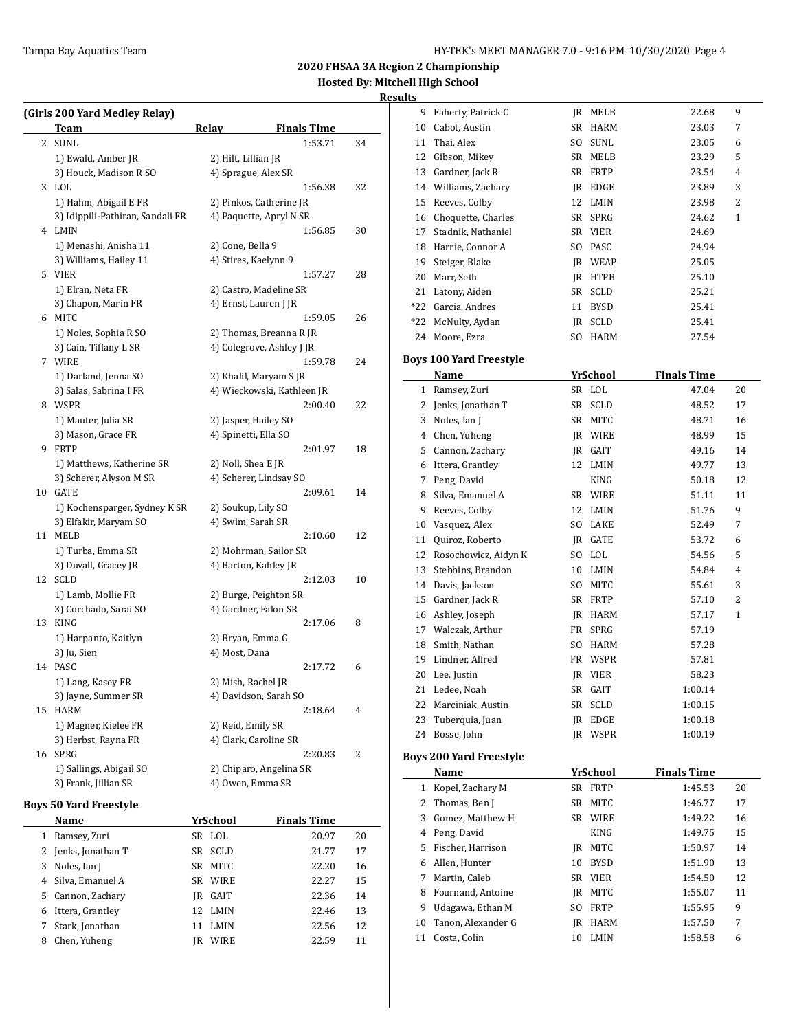#### **Results**

|    | (Girls 200 Yard Medley Relay)    |                     |                            |    |
|----|----------------------------------|---------------------|----------------------------|----|
|    | Team                             | Relay               | <b>Finals Time</b>         |    |
| 2  | SUNL                             |                     | 1:53.71                    | 34 |
|    | 1) Ewald, Amber JR               | 2) Hilt, Lillian JR |                            |    |
|    | 3) Houck, Madison R SO           |                     | 4) Sprague, Alex SR        |    |
|    | 3 LOL                            |                     | 1:56.38                    | 32 |
|    | 1) Hahm, Abigail E FR            |                     | 2) Pinkos, Catherine JR    |    |
|    | 3) Idippili-Pathiran, Sandali FR |                     | 4) Paquette, Apryl N SR    |    |
|    | 4 LMIN                           |                     | 1:56.85                    | 30 |
|    | 1) Menashi, Anisha 11            | 2) Cone, Bella 9    |                            |    |
|    | 3) Williams, Hailey 11           |                     | 4) Stires, Kaelynn 9       |    |
|    | 5 VIER                           |                     | 1:57.27                    | 28 |
|    | 1) Elran, Neta FR                |                     | 2) Castro, Madeline SR     |    |
|    | 3) Chapon, Marin FR              |                     | 4) Ernst, Lauren J JR      |    |
| 6  | MITC                             |                     | 1:59.05                    | 26 |
|    | 1) Noles, Sophia R SO            |                     | 2) Thomas, Breanna R JR    |    |
|    | 3) Cain, Tiffany L SR            |                     | 4) Colegrove, Ashley J JR  |    |
| 7  | WIRE                             |                     | 1:59.78                    | 24 |
|    | 1) Darland, Jenna SO             |                     | 2) Khalil, Maryam S JR     |    |
|    | 3) Salas, Sabrina I FR           |                     | 4) Wieckowski, Kathleen JR |    |
|    | 8 WSPR                           |                     | 2:00.40                    | 22 |
|    | 1) Mauter, Julia SR              |                     | 2) Jasper, Hailey SO       |    |
|    | 3) Mason, Grace FR               |                     | 4) Spinetti, Ella SO       |    |
| 9  | FRTP                             |                     | 2:01.97                    | 18 |
|    | 1) Matthews, Katherine SR        | 2) Noll, Shea E JR  |                            |    |
|    | 3) Scherer, Alyson M SR          |                     | 4) Scherer, Lindsay SO     |    |
| 10 | <b>GATE</b>                      |                     | 2:09.61                    | 14 |
|    | 1) Kochensparger, Sydney K SR    |                     | 2) Soukup, Lily SO         |    |
|    | 3) Elfakir, Maryam SO            |                     | 4) Swim, Sarah SR          |    |
| 11 | <b>MELB</b>                      |                     | 2:10.60                    | 12 |
|    | 1) Turba, Emma SR                |                     | 2) Mohrman, Sailor SR      |    |
|    | 3) Duvall, Gracey JR             |                     | 4) Barton, Kahley JR       |    |
| 12 | <b>SCLD</b>                      |                     | 2:12.03                    | 10 |
|    | 1) Lamb, Mollie FR               |                     | 2) Burge, Peighton SR      |    |
|    | 3) Corchado, Sarai SO            |                     | 4) Gardner, Falon SR       |    |
| 13 | KING                             |                     | 2:17.06                    | 8  |
|    | 1) Harpanto, Kaitlyn             |                     | 2) Bryan, Emma G           |    |
|    | 3) Ju, Sien                      | 4) Most, Dana       |                            |    |
| 14 | PASC                             |                     | 2:17.72                    | 6  |
|    | 1) Lang, Kasey FR                |                     | 2) Mish, Rachel JR         |    |
|    | 3) Jayne, Summer SR              |                     | 4) Davidson, Sarah SO      |    |
| 15 | HARM                             |                     | 2:18.64                    | 4  |
|    | 1) Magner, Kielee FR             | 2) Reid, Emily SR   |                            |    |
|    | 3) Herbst, Rayna FR              |                     | 4) Clark, Caroline SR      |    |
| 16 | SPRG                             |                     | 2:20.83                    | 2  |
|    | 1) Sallings, Abigail SO          |                     | 2) Chiparo, Angelina SR    |    |
|    | 3) Frank, Jillian SR             |                     | 4) Owen, Emma SR           |    |

#### **Boys 50 Yard Freestyle**

|   | Name                |     | YrSchool    | <b>Finals Time</b> |       |    |
|---|---------------------|-----|-------------|--------------------|-------|----|
| 1 | Ramsey, Zuri        | SR. | LOL         |                    | 20.97 | 20 |
|   | 2 Jenks, Jonathan T | SR  | <b>SCLD</b> |                    | 21.77 | 17 |
| 3 | Noles, Ian J        | SR  | MITC        |                    | 22.20 | 16 |
|   | 4 Silva, Emanuel A  | SR. | WIRE        |                    | 22.27 | 15 |
|   | 5 Cannon, Zachary   | IR  | GAIT        |                    | 22.36 | 14 |
| 6 | Ittera, Grantley    | 12  | LMIN        |                    | 22.46 | 13 |
| 7 | Stark, Jonathan     | 11  | <b>LMIN</b> |                    | 22.56 | 12 |
| 8 | Chen, Yuheng        | IR  | <b>WIRE</b> |                    | 22.59 | 11 |
|   |                     |     |             |                    |       |    |

| uits         |                                |      |                           |                    |                |
|--------------|--------------------------------|------|---------------------------|--------------------|----------------|
| 9            | Faherty, Patrick C             |      | JR MELB                   | 22.68              | 9              |
| 10           | Cabot, Austin                  |      | SR HARM                   | 23.03              | 7              |
| 11           | Thai, Alex                     | SO.  | SUNL                      | 23.05              | 6              |
| 12           | Gibson, Mikey                  |      | SR MELB                   | 23.29              | 5              |
|              | 13 Gardner, Jack R             |      | SR FRTP                   | 23.54              | $\overline{4}$ |
| 14           | Williams, Zachary              |      | IR EDGE                   | 23.89              | 3              |
| 15           | Reeves, Colby                  | 12   | LMIN                      | 23.98              | 2              |
| 16           | Choquette, Charles             |      | SR SPRG                   | 24.62              | 1              |
| 17           | Stadnik, Nathaniel             |      | SR VIER                   | 24.69              |                |
|              | 18 Harrie, Connor A            | SO.  | PASC                      | 24.94              |                |
|              | 19 Steiger, Blake              |      | <b>IR WEAP</b>            | 25.05              |                |
| 20           | Marr, Seth                     |      | JR HTPB                   | 25.10              |                |
|              | 21 Latony, Aiden               |      | SR SCLD                   | 25.21              |                |
|              | *22 Garcia, Andres             | 11   | <b>BYSD</b>               | 25.41              |                |
| *22          | McNulty, Aydan                 |      | JR SCLD                   | 25.41              |                |
| 24           | Moore, Ezra                    | SO - | <b>HARM</b>               | 27.54              |                |
|              |                                |      |                           |                    |                |
|              | <b>Boys 100 Yard Freestyle</b> |      |                           | <b>Finals Time</b> |                |
| $\mathbf{1}$ | Name                           |      | <b>YrSchool</b><br>SR LOL | 47.04              | 20             |
|              | Ramsey, Zuri                   | SR   | <b>SCLD</b>               |                    | 17             |
| 2            | Jenks, Jonathan T              |      |                           | 48.52              |                |
| 3            | Noles, Ian J                   |      | SR MITC                   | 48.71              | 16             |
|              | 4 Chen, Yuheng                 |      | <b>IR WIRE</b>            | 48.99              | 15             |
|              | 5 Cannon, Zachary              |      | JR GAIT                   | 49.16              | 14             |
|              | 6 Ittera, Grantley             | 12   | LMIN                      | 49.77              | 13             |
| 7            | Peng, David                    |      | KING                      | 50.18              | 12             |
| 8            | Silva, Emanuel A               |      | SR WIRE                   | 51.11              | 11             |
| 9            | Reeves, Colby                  |      | 12 LMIN                   | 51.76              | 9              |
| 10           | Vasquez, Alex                  |      | SO LAKE                   | 52.49              | 7              |
| 11           | Quiroz, Roberto                |      | IR GATE                   | 53.72              | 6              |
| 12           | Rosochowicz, Aidyn K           |      | SO LOL                    | 54.56              | 5              |
| 13           | Stebbins, Brandon              | 10   | LMIN                      | 54.84              | 4              |
| 14           | Davis, Jackson                 | SO.  | MITC                      | 55.61              | 3              |
| 15           | Gardner, Jack R                |      | SR FRTP                   | 57.10              | 2              |
| 16           | Ashley, Joseph                 |      | JR HARM                   | 57.17              | 1              |
|              | 17 Walczak, Arthur             |      | FR SPRG                   | 57.19              |                |
| 18           | Smith, Nathan                  | SO.  | HARM                      | 57.28              |                |
| 19           | Lindner, Alfred                | FR   | <b>WSPR</b>               | 57.81              |                |
| 20           | Lee, Justin                    | IR   | <b>VIER</b>               | 58.23              |                |
| 21           | Ledee, Noah                    |      | SR GAIT                   | 1:00.14            |                |
| 22           | Marciniak, Austin              | SR   | SCLD                      | 1:00.15            |                |
| 23           | Tuberquia, Juan                |      | JR EDGE                   | 1:00.18            |                |
| 24           | Bosse, John                    |      | JR WSPR                   | 1:00.19            |                |
|              | <b>Boys 200 Yard Freestyle</b> |      |                           |                    |                |
|              | Name                           |      | <u>YrSchool</u>           | <b>Finals Time</b> |                |
| $\mathbf{1}$ | Kopel, Zachary M               |      | SR FRTP                   | 1:45.53            | 20             |
| 2            | Thomas, Ben J                  | SR   | MITC                      | 1:46.77            | 17             |
| 3            | Gomez, Matthew H               |      | SR WIRE                   | 1:49.22            | 16             |
|              | 4 Peng, David                  |      | KING                      | 1:49.75            | 15             |
| 5            | Fischer, Harrison              |      | JR MITC                   | 1:50.97            | 14             |
|              | 6 Allen, Hunter                | 10   | <b>BYSD</b>               | 1:51.90            | 13             |
| 7            | Martin, Caleb                  |      | SR VIER                   | 1:54.50            | 12             |
| 8            | Fournand, Antoine              |      | JR MITC                   | 1:55.07            | 11             |
| 9            | Udagawa, Ethan M               | SO   | FRTP                      | 1:55.95            | 9              |
| 10           | Tanon, Alexander G             |      | JR HARM                   | 1:57.50            | 7              |
| 11           | Costa, Colin                   | 10   | LMIN                      | 1:58.58            | 6              |
|              |                                |      |                           |                    |                |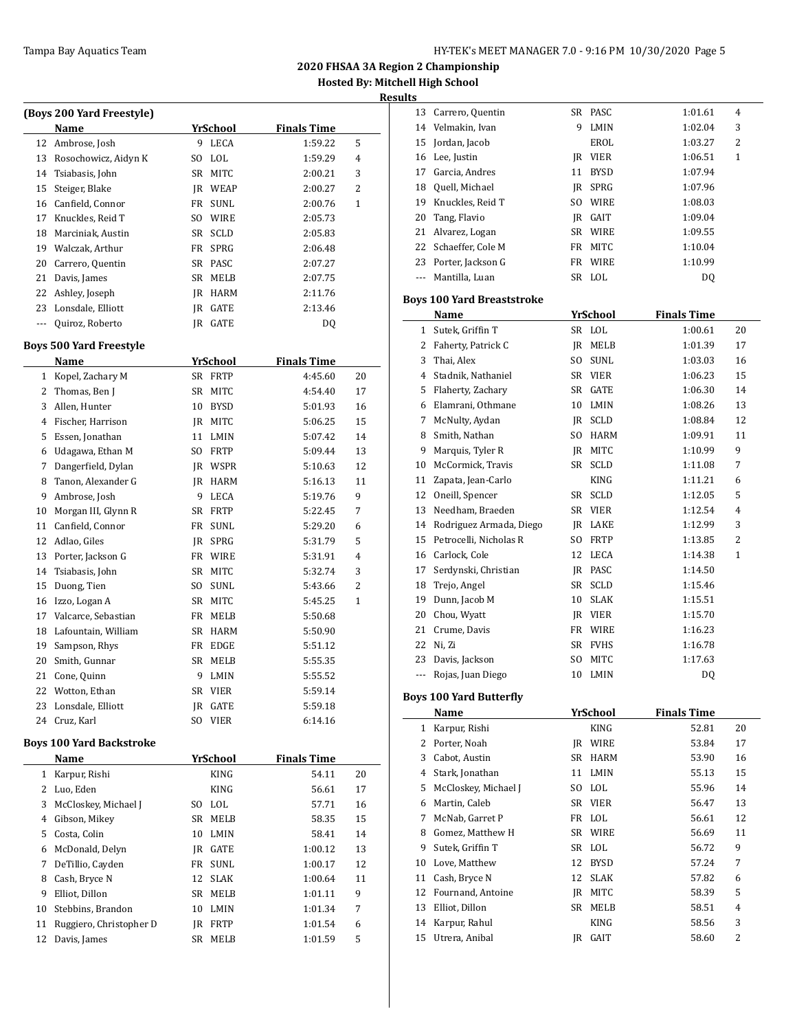| (Boys 200 Yard Freestyle) |                      |     |             |             |   |  |  |
|---------------------------|----------------------|-----|-------------|-------------|---|--|--|
|                           | Name                 |     | YrSchool    | Finals Time |   |  |  |
| 12                        | Ambrose, Josh        | 9   | <b>LECA</b> | 1:59.22     | 5 |  |  |
| 13                        | Rosochowicz, Aidyn K | SO. | LOL.        | 1:59.29     | 4 |  |  |
| 14                        | Tsiabasis, John      | SR  | MITC.       | 2:00.21     | 3 |  |  |
| 15                        | Steiger, Blake       | IR  | WEAP        | 2:00.27     | 2 |  |  |
| 16                        | Canfield, Connor     | FR  | SUNL        | 2:00.76     | 1 |  |  |
| 17                        | Knuckles, Reid T     | SO. | <b>WIRE</b> | 2:05.73     |   |  |  |
| 18                        | Marciniak, Austin    | SR  | SCLD        | 2:05.83     |   |  |  |
| 19                        | Walczak, Arthur      | FR  | <b>SPRG</b> | 2:06.48     |   |  |  |
| 20                        | Carrero, Quentin     |     | SR PASC     | 2:07.27     |   |  |  |
| 21                        | Davis, James         | SR  | MELB        | 2:07.75     |   |  |  |
| 22                        | Ashley, Joseph       | IR  | <b>HARM</b> | 2:11.76     |   |  |  |
| 23                        | Lonsdale, Elliott    | IR  | GATE        | 2:13.46     |   |  |  |
|                           | Quiroz, Roberto      | IR  | GATE        | DQ          |   |  |  |
|                           |                      |     |             |             |   |  |  |

## **Boys 500 Yard Freestyle**

| Name |                     |           | YrSchool    | <b>Finals Time</b> |                |
|------|---------------------|-----------|-------------|--------------------|----------------|
| 1    | Kopel, Zachary M    | SR        | <b>FRTP</b> | 4:45.60            | 20             |
| 2    | Thomas, Ben J       | <b>SR</b> | MITC        | 4:54.40            | 17             |
| 3    | Allen, Hunter       | 10        | <b>BYSD</b> | 5:01.93            | 16             |
| 4    | Fischer, Harrison   | IR        | <b>MITC</b> | 5:06.25            | 15             |
| 5    | Essen, Jonathan     | 11        | LMIN        | 5:07.42            | 14             |
| 6    | Udagawa, Ethan M    | SO.       | <b>FRTP</b> | 5:09.44            | 13             |
| 7    | Dangerfield, Dylan  | IR        | <b>WSPR</b> | 5:10.63            | 12             |
| 8    | Tanon, Alexander G  | IR        | <b>HARM</b> | 5:16.13            | 11             |
| 9    | Ambrose, Josh       | 9         | <b>LECA</b> | 5:19.76            | 9              |
| 10   | Morgan III, Glynn R | <b>SR</b> | <b>FRTP</b> | 5:22.45            | 7              |
| 11   | Canfield, Connor    | FR        | <b>SUNL</b> | 5:29.20            | 6              |
| 12   | Adlao, Giles        | <b>JR</b> | SPRG        | 5:31.79            | 5              |
| 13   | Porter, Jackson G   | FR        | <b>WIRE</b> | 5:31.91            | 4              |
| 14   | Tsiabasis, John     | <b>SR</b> | <b>MITC</b> | 5:32.74            | 3              |
| 15   | Duong, Tien         | SO.       | <b>SUNL</b> | 5:43.66            | $\overline{2}$ |
| 16   | Izzo, Logan A       | <b>SR</b> | <b>MITC</b> | 5:45.25            | $\mathbf{1}$   |
| 17   | Valcarce, Sebastian | FR        | <b>MELB</b> | 5:50.68            |                |
| 18   | Lafountain, William | <b>SR</b> | <b>HARM</b> | 5:50.90            |                |
| 19   | Sampson, Rhys       | FR        | <b>EDGE</b> | 5:51.12            |                |
| 20   | Smith, Gunnar       | <b>SR</b> | <b>MELB</b> | 5:55.35            |                |
| 21   | Cone, Quinn         | 9         | LMIN        | 5:55.52            |                |
| 22   | Wotton, Ethan       | <b>SR</b> | <b>VIER</b> | 5:59.14            |                |
| 23   | Lonsdale, Elliott   | <b>JR</b> | <b>GATE</b> | 5:59.18            |                |
| 24   | Cruz, Karl          | SO        | <b>VIER</b> | 6:14.16            |                |

### **Boys 100 Yard Backstroke**

 $\overline{\phantom{0}}$ 

|    | Name                    |    | YrSchool    | <b>Finals Time</b> |    |
|----|-------------------------|----|-------------|--------------------|----|
| 1  | Karpur, Rishi           |    | <b>KING</b> | 54.11              | 20 |
| 2  | Luo, Eden               |    | <b>KING</b> | 56.61              | 17 |
| 3  | McCloskey, Michael J    | SΟ | <b>LOL</b>  | 57.71              | 16 |
| 4  | Gibson, Mikey           | SR | <b>MELB</b> | 58.35              | 15 |
| 5  | Costa, Colin            | 10 | <b>LMIN</b> | 58.41              | 14 |
| 6  | McDonald, Delyn         | IR | <b>GATE</b> | 1:00.12            | 13 |
| 7  | DeTillio, Cayden        | FR | <b>SUNL</b> | 1:00.17            | 12 |
| 8  | Cash, Bryce N           | 12 | <b>SLAK</b> | 1:00.64            | 11 |
| 9  | Elliot. Dillon          | SR | <b>MELB</b> | 1:01.11            | 9  |
| 10 | Stebbins, Brandon       | 10 | LMIN        | 1:01.34            | 7  |
| 11 | Ruggiero, Christopher D | IR | <b>FRTP</b> | 1:01.54            | 6  |
| 12 | Davis, James            | SR | <b>MELB</b> | 1:01.59            | 5  |

| uits                     |                                   |     |                    |                    |                |  |
|--------------------------|-----------------------------------|-----|--------------------|--------------------|----------------|--|
| 13                       | Carrero, Quentin                  |     | SR PASC            | 1:01.61            | $\overline{4}$ |  |
| 14                       | Velmakin, Ivan                    | 9   | LMIN               | 1:02.04            | 3              |  |
| 15                       | Jordan, Jacob                     |     | EROL               | 1:03.27            | 2              |  |
| 16                       | Lee, Justin                       |     | JR VIER            | 1:06.51            | 1              |  |
| 17                       | Garcia, Andres                    | 11  | <b>BYSD</b>        | 1:07.94            |                |  |
|                          | 18 Quell, Michael                 |     | JR SPRG            | 1:07.96            |                |  |
|                          | 19 Knuckles, Reid T               |     | SO WIRE            | 1:08.03            |                |  |
| 20                       | Tang, Flavio                      |     | JR GAIT            | 1:09.04            |                |  |
| 21                       | Alvarez, Logan                    |     | SR WIRE            | 1:09.55            |                |  |
|                          | 22 Schaeffer, Cole M              |     | FR MITC            | 1:10.04            |                |  |
|                          | 23 Porter, Jackson G              |     | FR WIRE            | 1:10.99            |                |  |
| $\overline{\phantom{a}}$ | Mantilla, Luan                    |     | SR LOL             | DQ                 |                |  |
|                          | <b>Boys 100 Yard Breaststroke</b> |     |                    |                    |                |  |
|                          | Name                              |     |                    | <b>Finals Time</b> |                |  |
|                          |                                   |     | YrSchool           |                    |                |  |
|                          | 1 Sutek, Griffin T                |     | SR LOL             | 1:00.61            | 20             |  |
| 3                        | 2 Faherty, Patrick C              | SO. | JR MELB<br>SUNL    | 1:01.39            | 17<br>16       |  |
|                          | Thai, Alex                        |     |                    | 1:03.03            |                |  |
| 4                        | Stadnik, Nathaniel                |     | SR VIER            | 1:06.23            | 15             |  |
| 5                        | Flaherty, Zachary                 |     | SR GATE            | 1:06.30            | 14             |  |
| 6                        | Elamrani, Othmane                 |     | 10 LMIN            | 1:08.26            | 13             |  |
| 7                        | McNulty, Aydan                    |     | JR SCLD            | 1:08.84            | 12             |  |
| 8                        | Smith, Nathan                     |     | SO HARM<br>IR MITC | 1:09.91            | 11<br>9        |  |
| 9                        | Marquis, Tyler R                  |     | SR SCLD            | 1:10.99            |                |  |
| 10                       | McCormick, Travis                 |     |                    | 1:11.08            | 7              |  |
| 11                       | Zapata, Jean-Carlo                |     | KING               | 1:11.21            | 6              |  |
| 12                       | Oneill, Spencer                   |     | SR SCLD            | 1:12.05            | 5              |  |
| 13                       | Needham, Braeden                  |     | SR VIER            | 1:12.54            | 4              |  |
| 14                       | Rodriguez Armada, Diego           |     | JR LAKE            | 1:12.99            | 3              |  |
| 15                       | Petrocelli, Nicholas R            |     | SO FRTP            | 1:13.85            | 2              |  |
|                          | 16 Carlock, Cole                  |     | 12 LECA            | 1:14.38            | 1              |  |
| 17                       | Serdynski, Christian              |     | JR PASC            | 1:14.50            |                |  |
| 18                       | Trejo, Angel                      |     | SR SCLD            | 1:15.46            |                |  |
| 19                       | Dunn, Jacob M                     | 10  | SLAK               | 1:15.51            |                |  |
| 20                       | Chou, Wyatt                       |     | JR VIER            | 1:15.70            |                |  |
| 21                       | Crume, Davis                      |     | FR WIRE            | 1:16.23            |                |  |
| 22                       | Ni, Zi                            |     | SR FVHS            | 1:16.78            |                |  |
| 23                       | Davis, Jackson                    | SO. | MITC               | 1:17.63            |                |  |
| ---                      | Rojas, Juan Diego                 | 10  | LMIN               | DQ                 |                |  |
|                          | <b>Boys 100 Yard Butterfly</b>    |     |                    |                    |                |  |
|                          | Name                              |     | <u>YrSchool</u>    | <b>Finals Time</b> |                |  |
| $\mathbf 1$              | Karpur, Rishi                     |     | KING               | 52.81              | 20             |  |
| 2                        | Porter, Noah                      |     | JR WIRE            | 53.84              | 17             |  |
| 3                        | Cabot, Austin                     |     | SR HARM            | 53.90              | 16             |  |
| 4                        | Stark, Jonathan                   | 11  | LMIN               | 55.13              | 15             |  |
| 5                        | McCloskey, Michael J              | SO  | <b>LOL</b>         | 55.96              | 14             |  |
| 6                        | Martin, Caleb                     |     | SR VIER            | 56.47              | 13             |  |
| 7                        | McNab. Garret P                   | FR  | <b>LOL</b>         | 56.61              | 12             |  |
| 8                        | Gomez, Matthew H                  | SR  | WIRE               | 56.69              | 11             |  |
| 9                        | Sutek, Griffin T                  |     | SR LOL             | 56.72              | 9              |  |
|                          |                                   |     |                    |                    |                |  |

|    | Name                 |    | YrSchool    | Finals Time |    |  |
|----|----------------------|----|-------------|-------------|----|--|
| 1  | Karpur, Rishi        |    | <b>KING</b> | 52.81       | 20 |  |
| 2  | Porter, Noah         | IR | WIRE        | 53.84       | 17 |  |
| 3  | Cabot, Austin        | SR | <b>HARM</b> | 53.90       | 16 |  |
| 4  | Stark, Jonathan      | 11 | LMIN        | 55.13       | 15 |  |
| 5  | McCloskey, Michael J | SO | <b>LOL</b>  | 55.96       | 14 |  |
| 6  | Martin, Caleb        | SR | VIER        | 56.47       | 13 |  |
| 7  | McNab, Garret P      | FR | LOL         | 56.61       | 12 |  |
| 8  | Gomez, Matthew H     |    | SR WIRE     | 56.69       | 11 |  |
| 9  | Sutek, Griffin T     |    | SR LOL      | 56.72       | 9  |  |
| 10 | Love, Matthew        | 12 | <b>BYSD</b> | 57.24       | 7  |  |
| 11 | Cash, Bryce N        | 12 | <b>SLAK</b> | 57.82       | 6  |  |
| 12 | Fournand, Antoine    | IR | <b>MITC</b> | 58.39       | 5  |  |
| 13 | Elliot, Dillon       | SR | MELB        | 58.51       | 4  |  |
| 14 | Karpur, Rahul        |    | <b>KING</b> | 58.56       | 3  |  |
| 15 | Utrera, Anibal       | IR | GAIT        | 58.60       | 2  |  |
|    |                      |    |             |             |    |  |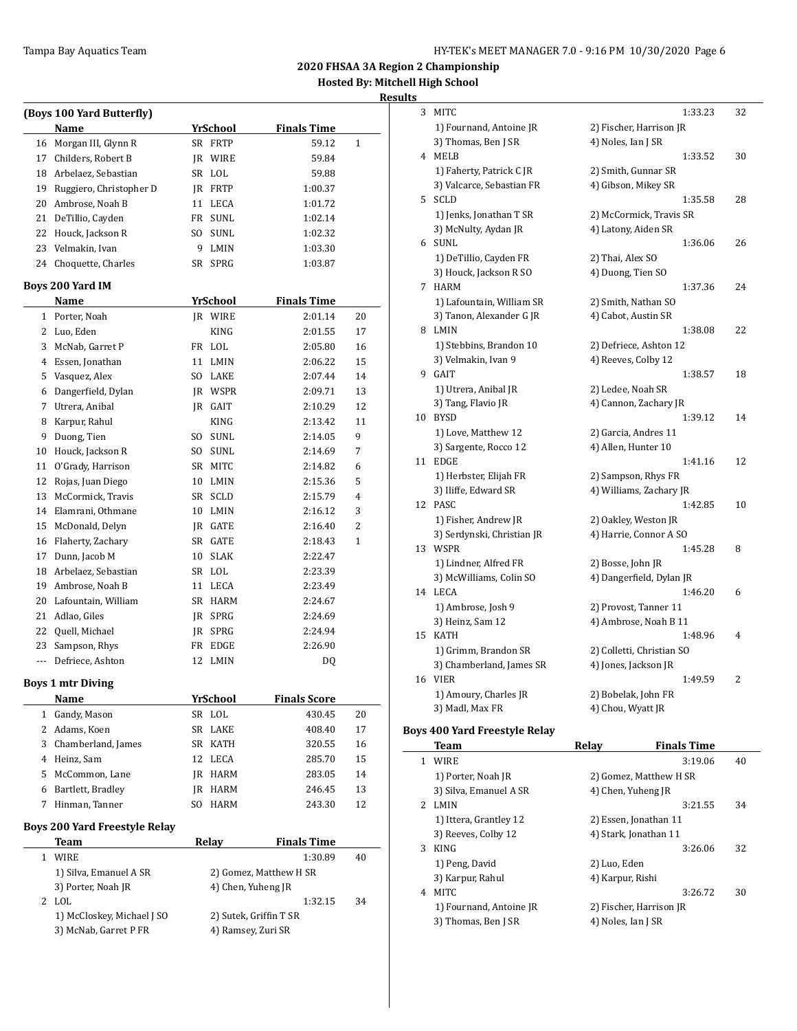#### **Results**

|                          | (Boys 100 Yard Butterfly)            |     |                 |                        |              |
|--------------------------|--------------------------------------|-----|-----------------|------------------------|--------------|
|                          | Name                                 |     | <b>YrSchool</b> | <b>Finals Time</b>     |              |
| 16                       | Morgan III, Glynn R                  |     | SR FRTP         | 59.12                  | $\mathbf{1}$ |
|                          | 17 Childers, Robert B                |     | IR WIRE         | 59.84                  |              |
|                          | 18 Arbelaez, Sebastian               |     | SR LOL          | 59.88                  |              |
|                          | 19 Ruggiero, Christopher D           |     | JR FRTP         | 1:00.37                |              |
|                          | 20 Ambrose, Noah B                   |     | 11 LECA         | 1:01.72                |              |
| 21                       | DeTillio, Cayden                     |     | FR SUNL         | 1:02.14                |              |
|                          | 22 Houck, Jackson R                  | SO  | SUNL            | 1:02.32                |              |
|                          | 23 Velmakin, Ivan                    | 9   | LMIN            | 1:03.30                |              |
| 24                       | Choquette, Charles                   |     | SR SPRG         | 1:03.87                |              |
|                          | Boys 200 Yard IM                     |     |                 |                        |              |
|                          | Name                                 |     | YrSchool        | <b>Finals Time</b>     |              |
| $\mathbf{1}$             | Porter, Noah                         |     | JR WIRE         | 2:01.14                | 20           |
|                          | 2 Luo, Eden                          |     | <b>KING</b>     | 2:01.55                | 17           |
|                          | 3 McNab, Garret P                    |     | FR LOL          | 2:05.80                | 16           |
|                          | 4 Essen, Jonathan                    |     | 11 LMIN         | 2:06.22                | 15           |
|                          | 5 Vasquez, Alex                      |     | SO LAKE         | 2:07.44                | 14           |
|                          | 6 Dangerfield, Dylan                 |     | <b>IR WSPR</b>  | 2:09.71                | 13           |
|                          | 7 Utrera, Anibal                     |     | JR GAIT         | 2:10.29                | 12           |
| 8                        | Karpur, Rahul                        |     | KING            | 2:13.42                | 11           |
| 9                        | Duong, Tien                          |     | SO SUNL         | 2:14.05                | 9            |
|                          | 10 Houck, Jackson R                  |     | SO SUNL         | 2:14.69                | 7            |
| 11                       | O'Grady, Harrison                    |     | SR MITC         | 2:14.82                | 6            |
| 12                       | Rojas, Juan Diego                    |     | 10 LMIN         | 2:15.36                | 5            |
| 13                       | McCormick, Travis                    |     | SR SCLD         | 2:15.79                | 4            |
|                          | 14 Elamrani, Othmane                 |     | 10 LMIN         | 2:16.12                | 3            |
| 15                       | McDonald, Delyn                      |     |                 |                        | 2            |
|                          |                                      |     | JR GATE         | 2:16.40                |              |
|                          | 16 Flaherty, Zachary                 |     | SR GATE         | 2:18.43                | 1            |
| 17                       | Dunn, Jacob M                        |     | 10 SLAK         | 2:22.47                |              |
|                          | 18 Arbelaez, Sebastian               |     | SR LOL          | 2:23.39                |              |
| 19                       | Ambrose, Noah B                      |     | 11 LECA         | 2:23.49                |              |
| 20                       | Lafountain, William                  |     | SR HARM         | 2:24.67                |              |
| 21                       | Adlao, Giles                         |     | JR SPRG         | 2:24.69                |              |
| 22                       | Quell, Michael                       |     | IR SPRG         | 2:24.94                |              |
| 23                       | Sampson, Rhys                        |     | FR EDGE         | 2:26.90                |              |
| $\overline{\phantom{a}}$ | Defriece, Ashton                     |     | 12 LMIN         | DQ                     |              |
|                          | <b>Boys 1 mtr Diving</b>             |     |                 |                        |              |
|                          | <b>Name</b>                          |     | <b>YrSchool</b> | <b>Finals Score</b>    |              |
| 1                        | Gandy, Mason                         |     | SR LOL          | 430.45                 | 20           |
| 2                        | Adams, Koen                          | SR  | LAKE            | 408.40                 | 17           |
|                          | 3 Chamberland, James                 |     | SR KATH         | 320.55                 | 16           |
|                          | 4 Heinz, Sam                         | 12  | LECA            | 285.70                 | 15           |
|                          | 5 McCommon, Lane                     |     | JR HARM         | 283.05                 | 14           |
|                          | 6 Bartlett, Bradley                  | JR  | HARM            | 246.45                 | 13           |
| 7                        | Hinman, Tanner                       | SO. | HARM            | 243.30                 | 12           |
|                          | <b>Boys 200 Yard Freestyle Relay</b> |     |                 |                        |              |
|                          | <b>Team</b>                          |     | <b>Relay</b>    | <b>Finals Time</b>     |              |
| $\mathbf{1}$             | <b>WIRE</b>                          |     |                 | 1:30.89                | 40           |
|                          | 1) Silva, Emanuel A SR               |     |                 | 2) Gomez, Matthew H SR |              |
|                          | 3) Porter, Noah JR                   |     |                 | 4) Chen, Yuheng JR     |              |
|                          | 2 LOL                                |     |                 | 1:32.15                | 34           |
|                          | 1) McCloskey, Michael J SO           |     |                 | 2) Sutek, Griffin T SR |              |
|                          | 3) McNab, Garret P FR                |     |                 | 4) Ramsey, Zuri SR     |              |
|                          |                                      |     |                 |                        |              |

| 3  | MITC                       |                           | 1:33.23 | 32 |
|----|----------------------------|---------------------------|---------|----|
|    | 1) Fournand, Antoine JR    | 2) Fischer, Harrison JR   |         |    |
|    | 3) Thomas, Ben J SR        | 4) Noles, Ian J SR        |         |    |
| 4  | MELB                       |                           | 1:33.52 | 30 |
|    | 1) Faherty, Patrick C JR   | 2) Smith, Gunnar SR       |         |    |
|    | 3) Valcarce, Sebastian FR  | 4) Gibson, Mikey SR       |         |    |
| 5  | <b>SCLD</b>                |                           | 1:35.58 | 28 |
|    | 1) Jenks, Jonathan T SR    | 2) McCormick, Travis SR   |         |    |
|    | 3) McNulty, Aydan JR       | 4) Latony, Aiden SR       |         |    |
| 6  | SUNL                       |                           | 1:36.06 | 26 |
|    | 1) DeTillio, Cayden FR     | 2) Thai, Alex SO          |         |    |
|    | 3) Houck, Jackson R SO     | 4) Duong, Tien SO         |         |    |
| 7  | <b>HARM</b>                |                           | 1:37.36 | 24 |
|    | 1) Lafountain, William SR  | 2) Smith, Nathan SO       |         |    |
|    | 3) Tanon, Alexander G JR   | 4) Cabot, Austin SR       |         |    |
| 8  | LMIN                       |                           | 1:38.08 | 22 |
|    |                            |                           |         |    |
|    | 1) Stebbins, Brandon 10    | 2) Defriece, Ashton 12    |         |    |
|    | 3) Velmakin, Ivan 9        | 4) Reeves, Colby 12       |         |    |
| 9  | GAIT                       |                           | 1:38.57 | 18 |
|    | 1) Utrera, Anibal JR       | 2) Ledee, Noah SR         |         |    |
|    | 3) Tang, Flavio JR         | 4) Cannon, Zachary JR     |         |    |
| 10 | <b>BYSD</b>                |                           | 1:39.12 | 14 |
|    | 1) Love, Matthew 12        | 2) Garcia, Andres 11      |         |    |
|    | 3) Sargente, Rocco 12      | 4) Allen, Hunter 10       |         |    |
| 11 | <b>EDGE</b>                |                           | 1:41.16 | 12 |
|    | 1) Herbster, Elijah FR     | 2) Sampson, Rhys FR       |         |    |
|    | 3) Iliffe, Edward SR       | 4) Williams, Zachary JR   |         |    |
| 12 | PASC                       |                           | 1:42.85 | 10 |
|    | 1) Fisher, Andrew JR       | 2) Oakley, Weston JR      |         |    |
|    | 3) Serdynski, Christian JR | 4) Harrie, Connor A SO    |         |    |
| 13 | WSPR                       |                           | 1:45.28 | 8  |
|    | 1) Lindner, Alfred FR      | 2) Bosse, John JR         |         |    |
|    | 3) McWilliams, Colin SO    | 4) Dangerfield, Dylan JR  |         |    |
| 14 | LECA                       |                           | 1:46.20 | 6  |
|    | 1) Ambrose, Josh 9         | 2) Provost, Tanner 11     |         |    |
|    | 3) Heinz, Sam 12           | 4) Ambrose, Noah B 11     |         |    |
| 15 | <b>KATH</b>                |                           | 1:48.96 | 4  |
|    | 1) Grimm, Brandon SR       | 2) Colletti, Christian SO |         |    |
|    | 3) Chamberland, James SR   | 4) Jones, Jackson JR      |         |    |
| 16 | <b>VIER</b>                |                           | 1:49.59 | 2  |
|    | 1) Amoury, Charles JR      | 2) Bobelak, John FR       |         |    |
|    | 3) Madl, Max FR            | 4) Chou, Wyatt JR         |         |    |
|    |                            |                           |         |    |

## **Boys 400 Yard Freestyle Relay**

|   | Team                    | Relav                   | <b>Finals Time</b> |    |
|---|-------------------------|-------------------------|--------------------|----|
|   | <b>WIRE</b>             |                         | 3:19.06            | 40 |
|   | 1) Porter, Noah JR      | 2) Gomez, Matthew H SR  |                    |    |
|   | 3) Silva, Emanuel A SR  | 4) Chen, Yuheng JR      |                    |    |
| 2 | <b>LMIN</b>             |                         | 3:21.55            | 34 |
|   | 1) Ittera, Grantley 12  | 2) Essen, Jonathan 11   |                    |    |
|   | 3) Reeves, Colby 12     | 4) Stark, Jonathan 11   |                    |    |
| 3 | <b>KING</b>             |                         | 3:26.06            | 32 |
|   | 1) Peng, David          | 2) Luo, Eden            |                    |    |
|   | 3) Karpur, Rahul        | 4) Karpur, Rishi        |                    |    |
| 4 | <b>MITC</b>             |                         | 3:26.72            | 30 |
|   | 1) Fournand, Antoine JR | 2) Fischer, Harrison JR |                    |    |
|   | 3) Thomas, Ben J SR     | 4) Noles, Ian J SR      |                    |    |